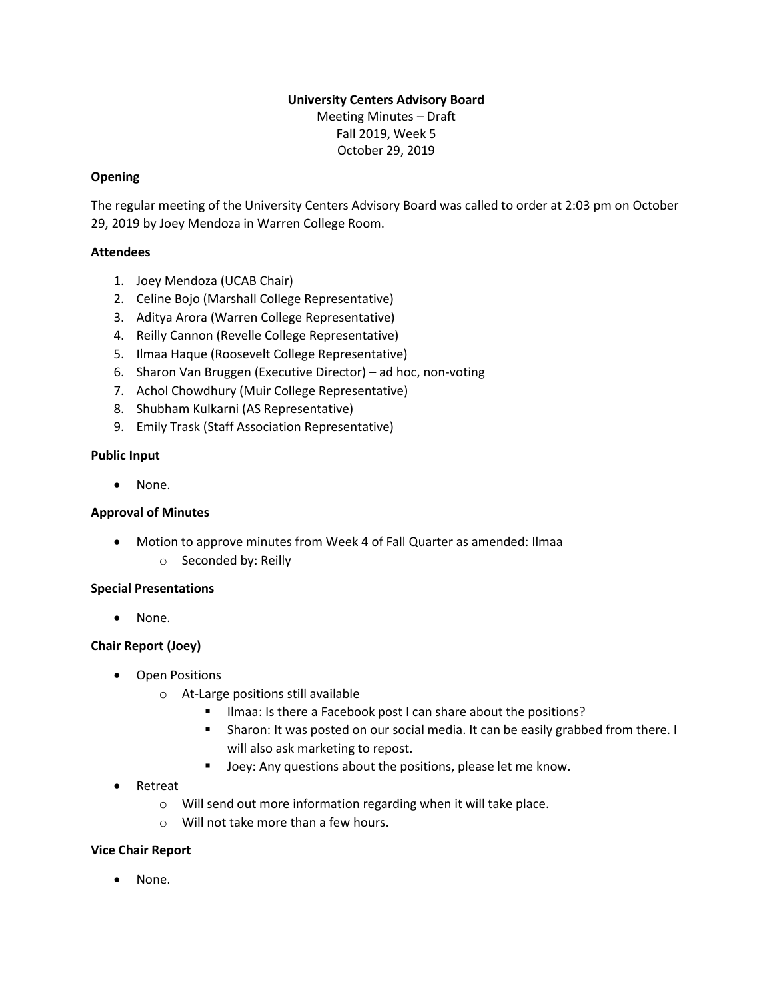# **University Centers Advisory Board** Meeting Minutes – Draft Fall 2019, Week 5 October 29, 2019

# **Opening**

The regular meeting of the University Centers Advisory Board was called to order at 2:03 pm on October 29, 2019 by Joey Mendoza in Warren College Room.

## **Attendees**

- 1. Joey Mendoza (UCAB Chair)
- 2. Celine Bojo (Marshall College Representative)
- 3. Aditya Arora (Warren College Representative)
- 4. Reilly Cannon (Revelle College Representative)
- 5. Ilmaa Haque (Roosevelt College Representative)
- 6. Sharon Van Bruggen (Executive Director) ad hoc, non-voting
- 7. Achol Chowdhury (Muir College Representative)
- 8. Shubham Kulkarni (AS Representative)
- 9. Emily Trask (Staff Association Representative)

#### **Public Input**

• None.

#### **Approval of Minutes**

• Motion to approve minutes from Week 4 of Fall Quarter as amended: Ilmaa o Seconded by: Reilly

#### **Special Presentations**

• None.

#### **Chair Report (Joey)**

- Open Positions
	- o At-Large positions still available
		- **■** Ilmaa: Is there a Facebook post I can share about the positions?
		- Sharon: It was posted on our social media. It can be easily grabbed from there. I will also ask marketing to repost.
		- Joey: Any questions about the positions, please let me know.
- Retreat
	- o Will send out more information regarding when it will take place.
	- o Will not take more than a few hours.

#### **Vice Chair Report**

None.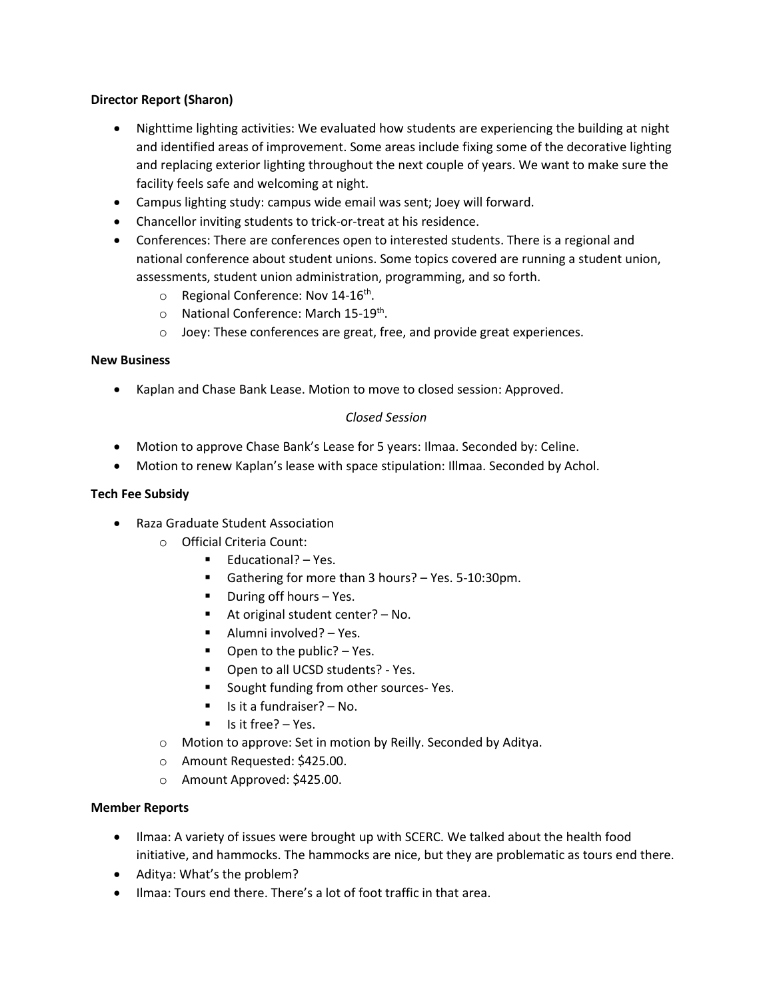## **Director Report (Sharon)**

- Nighttime lighting activities: We evaluated how students are experiencing the building at night and identified areas of improvement. Some areas include fixing some of the decorative lighting and replacing exterior lighting throughout the next couple of years. We want to make sure the facility feels safe and welcoming at night.
- Campus lighting study: campus wide email was sent; Joey will forward.
- Chancellor inviting students to trick-or-treat at his residence.
- Conferences: There are conferences open to interested students. There is a regional and national conference about student unions. Some topics covered are running a student union, assessments, student union administration, programming, and so forth.
	- o Regional Conference: Nov 14-16<sup>th</sup>.
	- o National Conference: March 15-19<sup>th</sup>.
	- o Joey: These conferences are great, free, and provide great experiences.

#### **New Business**

• Kaplan and Chase Bank Lease. Motion to move to closed session: Approved.

# *Closed Session*

- Motion to approve Chase Bank's Lease for 5 years: Ilmaa. Seconded by: Celine.
- Motion to renew Kaplan's lease with space stipulation: Illmaa. Seconded by Achol.

#### **Tech Fee Subsidy**

- Raza Graduate Student Association
	- o Official Criteria Count:
		- Educational? Yes.
		- Gathering for more than 3 hours? Yes. 5-10:30pm.
		- During off hours Yes.
		- At original student center?  $-$  No.
		- Alumni involved? Yes.
		- Open to the public? Yes.
		- Open to all UCSD students? Yes.
		- Sought funding from other sources- Yes.
		- Is it a fundraiser? No.
		- Is it free? Yes.
	- o Motion to approve: Set in motion by Reilly. Seconded by Aditya.
	- o Amount Requested: \$425.00.
	- o Amount Approved: \$425.00.

#### **Member Reports**

- Ilmaa: A variety of issues were brought up with SCERC. We talked about the health food initiative, and hammocks. The hammocks are nice, but they are problematic as tours end there.
- Aditya: What's the problem?
- Ilmaa: Tours end there. There's a lot of foot traffic in that area.